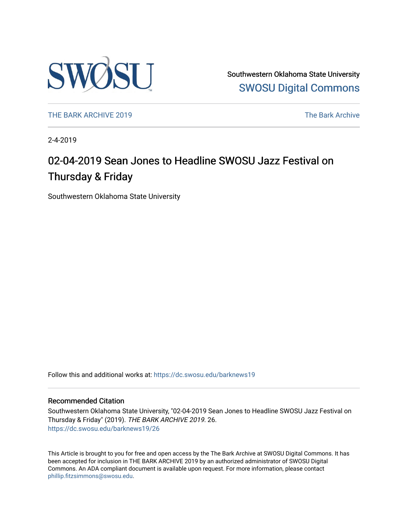

Southwestern Oklahoma State University [SWOSU Digital Commons](https://dc.swosu.edu/) 

[THE BARK ARCHIVE 2019](https://dc.swosu.edu/barknews19) The Bark Archive

2-4-2019

# 02-04-2019 Sean Jones to Headline SWOSU Jazz Festival on Thursday & Friday

Southwestern Oklahoma State University

Follow this and additional works at: [https://dc.swosu.edu/barknews19](https://dc.swosu.edu/barknews19?utm_source=dc.swosu.edu%2Fbarknews19%2F26&utm_medium=PDF&utm_campaign=PDFCoverPages)

#### Recommended Citation

Southwestern Oklahoma State University, "02-04-2019 Sean Jones to Headline SWOSU Jazz Festival on Thursday & Friday" (2019). THE BARK ARCHIVE 2019. 26. [https://dc.swosu.edu/barknews19/26](https://dc.swosu.edu/barknews19/26?utm_source=dc.swosu.edu%2Fbarknews19%2F26&utm_medium=PDF&utm_campaign=PDFCoverPages) 

This Article is brought to you for free and open access by the The Bark Archive at SWOSU Digital Commons. It has been accepted for inclusion in THE BARK ARCHIVE 2019 by an authorized administrator of SWOSU Digital Commons. An ADA compliant document is available upon request. For more information, please contact [phillip.fitzsimmons@swosu.edu](mailto:phillip.fitzsimmons@swosu.edu).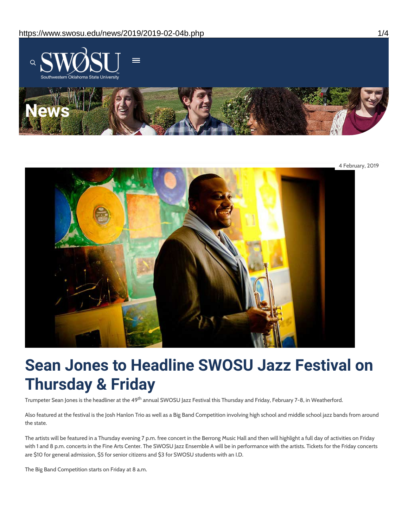



# **Sean Jones to Headline SWOSU Jazz Festival on Thursday & Friday**

Trumpeter Sean Jones is the headliner at the 49<sup>th</sup> annual SWOSU Jazz Festival this Thursday and Friday, February 7-8, in Weatherford.

Also featured at the festival is the Josh Hanlon Trio as well as a Big Band Competition involving high school and middle school jazz bands from around the state.

The artists will be featured in a Thursday evening 7 p.m. free concert in the Berrong Music Hall and then will highlight a full day of activities on Friday with 1 and 8 p.m. concerts in the Fine Arts Center. The SWOSU Jazz Ensemble A will be in performance with the artists. Tickets for the Friday concerts are \$10 for general admission, \$5 for senior citizens and \$3 for SWOSU students with an I.D.

The Big Band Competition starts on Friday at 8 a.m.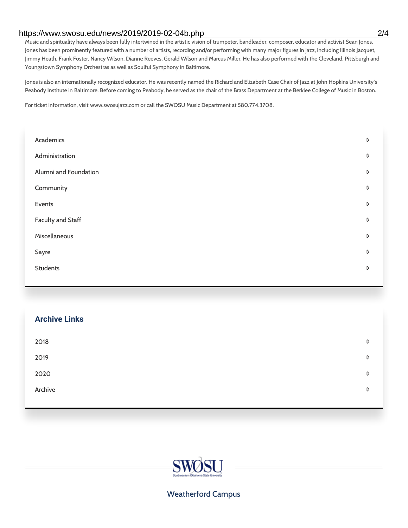#### https://www.swosu.edu/news/2019/2019-02-04b.php 2/4

Music and spirituality have always been fully intertwined in the artistic vision of trumpeter, bandleader, composer, educator and activist Sean Jones. Jones has been prominently featured with a number of artists, recording and/or performing with many major figures in jazz, including Illinois Jacquet, Jimmy Heath, Frank Foster, Nancy Wilson, Dianne Reeves, Gerald Wilson and Marcus Miller. He has also performed with the Cleveland, Pittsburgh and Youngstown Symphony Orchestras as well as Soulful Symphony in Baltimore.

Jones is also an internationally recognized educator. He was recently named the Richard and Elizabeth Case Chair of Jazz at John Hopkins University's Peabody Institute in Baltimore. Before coming to Peabody, he served as the chair of the Brass Department at the Berklee College of Music in Boston.

For ticket information, visit www.swosujazz.com or call the SWOSU Music Department at 580.774.3708.

| Academics                | D |
|--------------------------|---|
| Administration           | D |
| Alumni and Foundation    | D |
| Community                | D |
| Events                   | D |
| <b>Faculty and Staff</b> | D |
| Miscellaneous            | D |
| Sayre                    | D |
| <b>Students</b>          | D |
|                          |   |

| <b>Archive Links</b> |   |
|----------------------|---|
| 2018                 | D |
| 2019                 | D |
| 2020                 | D |
| Archive              | D |
|                      |   |



## Weatherford Campus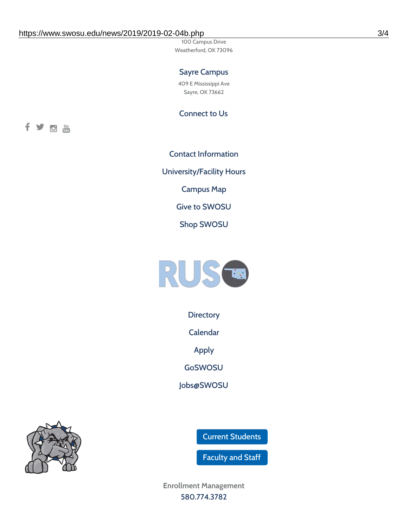100 Campus Drive Weatherford, OK 73096

## Sayre Campus

409 E Mississippi Ave Sayre, OK 73662

Connect to Us



Contact [Information](https://www.swosu.edu/about/contact.php) [University/Facility](https://www.swosu.edu/about/operating-hours.php) Hours [Campus](https://map.concept3d.com/?id=768#!ct/10964,10214,10213,10212,10205,10204,10203,10202,10136,10129,10128,0,31226,10130,10201,10641,0) Map Give to [SWOSU](https://standingfirmly.com/donate) Shop [SWOSU](https://shopswosu.merchorders.com/)



**[Directory](https://www.swosu.edu/directory/index.php)** 

[Calendar](https://eventpublisher.dudesolutions.com/swosu/)

[Apply](https://www.swosu.edu/admissions/apply-to-swosu.php)

[GoSWOSU](https://qlsso.quicklaunchsso.com/home/1267)

[Jobs@SWOSU](https://swosu.csod.com/ux/ats/careersite/1/home?c=swosu)

Current [Students](https://bulldog.swosu.edu/index.php)

[Faculty](https://bulldog.swosu.edu/faculty-staff/index.php) and Staff

**Enrollment Management** [580.774.3782](tel:5807743782)